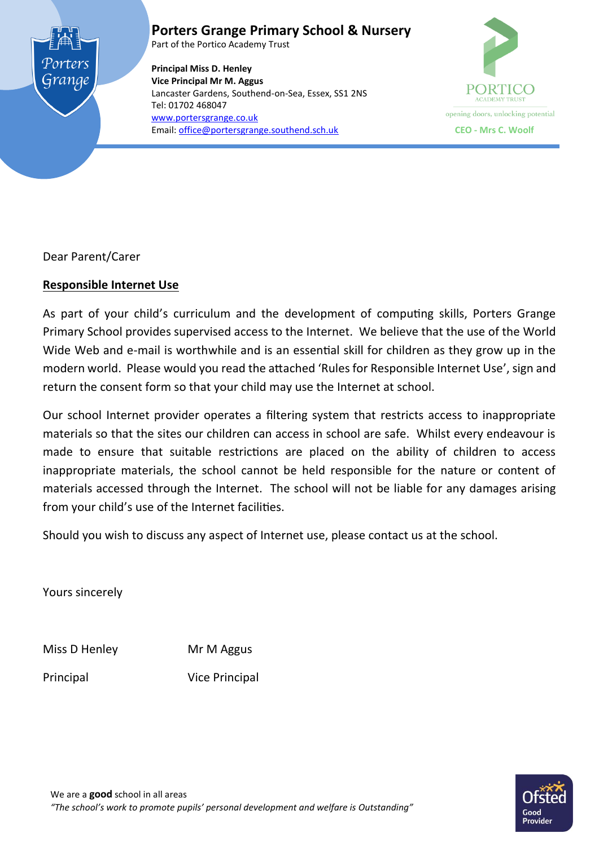

**Porters Grange Primary School & Nursery**

Part of the Portico Academy Trust

**Principal Miss D. Henley Vice Principal Mr M. Aggus** Lancaster Gardens, Southend-on-Sea, Essex, SS1 2NS Tel: 01702 468047 [www.portersgrange.co.uk](http://www.portersgrange.co.uk/) Email[: office@portersgrange.southend.sch.uk](mailto:office@portersgrange.southend.sch.uk) **CEO - Mrs C. Woolf**



Dear Parent/Carer

# **Responsible Internet Use**

As part of your child's curriculum and the development of computing skills, Porters Grange Primary School provides supervised access to the Internet. We believe that the use of the World Wide Web and e-mail is worthwhile and is an essential skill for children as they grow up in the modern world. Please would you read the attached 'Rules for Responsible Internet Use', sign and return the consent form so that your child may use the Internet at school.

Our school Internet provider operates a filtering system that restricts access to inappropriate materials so that the sites our children can access in school are safe. Whilst every endeavour is made to ensure that suitable restrictions are placed on the ability of children to access inappropriate materials, the school cannot be held responsible for the nature or content of materials accessed through the Internet. The school will not be liable for any damages arising from your child's use of the Internet facilities.

Should you wish to discuss any aspect of Internet use, please contact us at the school.

Yours sincerely

Miss D Henley Mr M Aggus

Principal Vice Principal

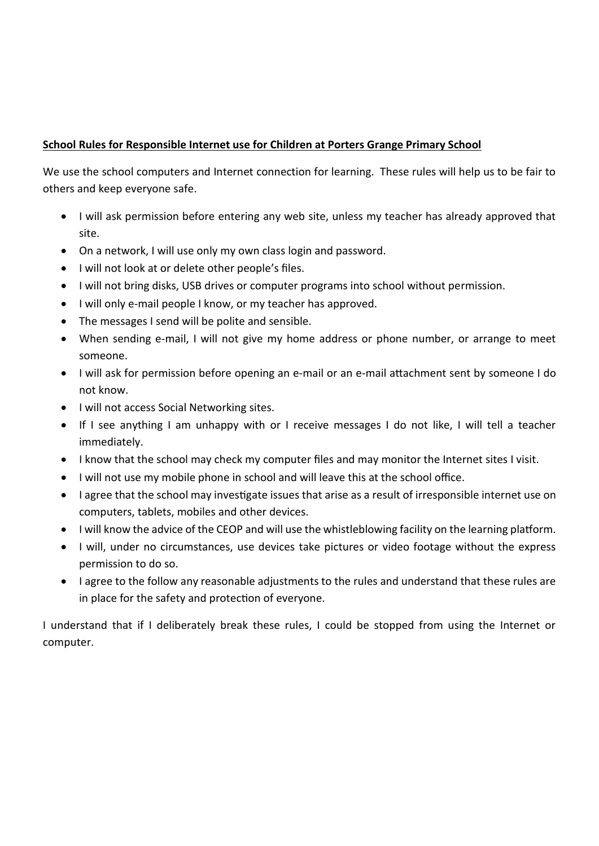## **School Rules for Responsible Internet use for Children at Porters Grange Primary School**

We use the school computers and Internet connection for learning. These rules will help us to be fair to others and keep everyone safe.

- I will ask permission before entering any web site, unless my teacher has already approved that site.
- On a network, I will use only my own class login and password.
- $\bullet$  I will not look at or delete other people's files.
- I will not bring disks, USB drives or computer programs into school without permission.
- I will only e-mail people I know, or my teacher has approved.
- The messages I send will be polite and sensible.
- When sending e-mail, I will not give my home address or phone number, or arrange to meet someone.
- I will ask for permission before opening an e-mail or an e-mail attachment sent by someone I do not know.
- $\bullet$  I will not access Social Networking sites.
- If I see anything I am unhappy with or I receive messages I do not like, I will tell a teacher immediately.
- I know that the school may check my computer files and may monitor the Internet sites I visit.
- I will not use my mobile phone in school and will leave this at the school office.
- I agree that the school may investigate issues that arise as a result of irresponsible internet use on computers, tablets, mobiles and other devices.
- I will know the advice of the CEOP and will use the whistleblowing facility on the learning platform.
- I will, under no circumstances, use devices take pictures or video footage without the express permission to do so.
- I agree to the follow any reasonable adjustments to the rules and understand that these rules are in place for the safety and protection of everyone.

I understand that if I deliberately break these rules, I could be stopped from using the Internet or computer.